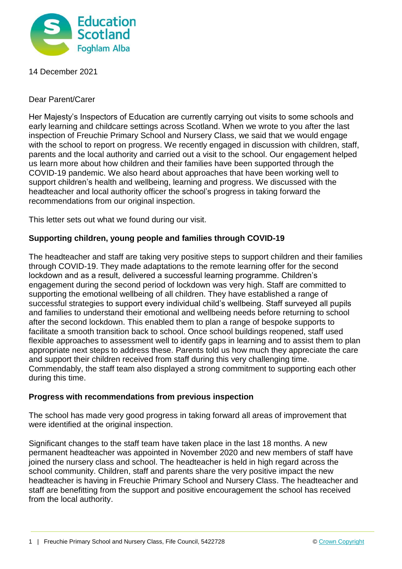

14 December 2021

Dear Parent/Carer

Her Majesty's Inspectors of Education are currently carrying out visits to some schools and early learning and childcare settings across Scotland. When we wrote to you after the last inspection of Freuchie Primary School and Nursery Class, we said that we would engage with the school to report on progress. We recently engaged in discussion with children, staff, parents and the local authority and carried out a visit to the school. Our engagement helped us learn more about how children and their families have been supported through the COVID-19 pandemic. We also heard about approaches that have been working well to support children's health and wellbeing, learning and progress. We discussed with the headteacher and local authority officer the school's progress in taking forward the recommendations from our original inspection.

This letter sets out what we found during our visit.

## **Supporting children, young people and families through COVID-19**

The headteacher and staff are taking very positive steps to support children and their families through COVID-19. They made adaptations to the remote learning offer for the second lockdown and as a result, delivered a successful learning programme. Children's engagement during the second period of lockdown was very high. Staff are committed to supporting the emotional wellbeing of all children. They have established a range of successful strategies to support every individual child's wellbeing. Staff surveyed all pupils and families to understand their emotional and wellbeing needs before returning to school after the second lockdown. This enabled them to plan a range of bespoke supports to facilitate a smooth transition back to school. Once school buildings reopened, staff used flexible approaches to assessment well to identify gaps in learning and to assist them to plan appropriate next steps to address these. Parents told us how much they appreciate the care and support their children received from staff during this very challenging time. Commendably, the staff team also displayed a strong commitment to supporting each other during this time.

## **Progress with recommendations from previous inspection**

The school has made very good progress in taking forward all areas of improvement that were identified at the original inspection.

Significant changes to the staff team have taken place in the last 18 months. A new permanent headteacher was appointed in November 2020 and new members of staff have joined the nursery class and school. The headteacher is held in high regard across the school community. Children, staff and parents share the very positive impact the new headteacher is having in Freuchie Primary School and Nursery Class. The headteacher and staff are benefitting from the support and positive encouragement the school has received from the local authority.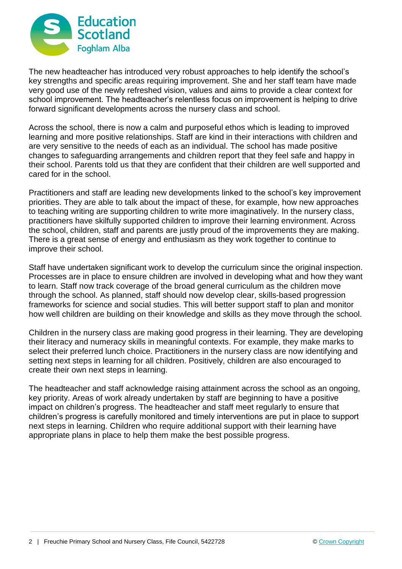

The new headteacher has introduced very robust approaches to help identify the school's key strengths and specific areas requiring improvement. She and her staff team have made very good use of the newly refreshed vision, values and aims to provide a clear context for school improvement. The headteacher's relentless focus on improvement is helping to drive forward significant developments across the nursery class and school.

Across the school, there is now a calm and purposeful ethos which is leading to improved learning and more positive relationships. Staff are kind in their interactions with children and are very sensitive to the needs of each as an individual. The school has made positive changes to safeguarding arrangements and children report that they feel safe and happy in their school. Parents told us that they are confident that their children are well supported and cared for in the school.

Practitioners and staff are leading new developments linked to the school's key improvement priorities. They are able to talk about the impact of these, for example, how new approaches to teaching writing are supporting children to write more imaginatively. In the nursery class, practitioners have skilfully supported children to improve their learning environment. Across the school, children, staff and parents are justly proud of the improvements they are making. There is a great sense of energy and enthusiasm as they work together to continue to improve their school.

Staff have undertaken significant work to develop the curriculum since the original inspection. Processes are in place to ensure children are involved in developing what and how they want to learn. Staff now track coverage of the broad general curriculum as the children move through the school. As planned, staff should now develop clear, skills-based progression frameworks for science and social studies. This will better support staff to plan and monitor how well children are building on their knowledge and skills as they move through the school.

Children in the nursery class are making good progress in their learning. They are developing their literacy and numeracy skills in meaningful contexts. For example, they make marks to select their preferred lunch choice. Practitioners in the nursery class are now identifying and setting next steps in learning for all children. Positively, children are also encouraged to create their own next steps in learning.

The headteacher and staff acknowledge raising attainment across the school as an ongoing, key priority. Areas of work already undertaken by staff are beginning to have a positive impact on children's progress. The headteacher and staff meet regularly to ensure that children's progress is carefully monitored and timely interventions are put in place to support next steps in learning. Children who require additional support with their learning have appropriate plans in place to help them make the best possible progress.